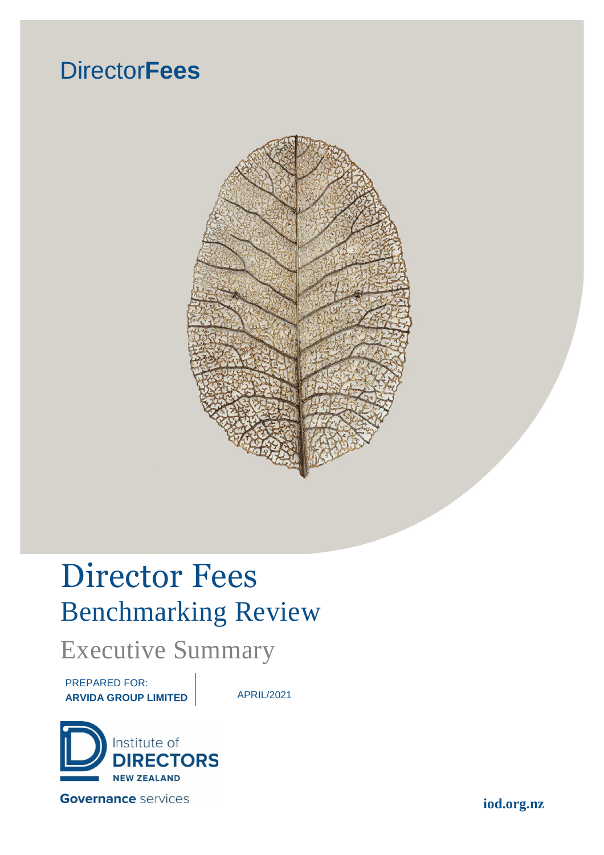## Director**Fees**



# Director Fees Benchmarking Review

## Executive Summary

PREPARED FOR: **ARVIDA GROUP LIMITED** APRIL/2021



**iod.org.nz**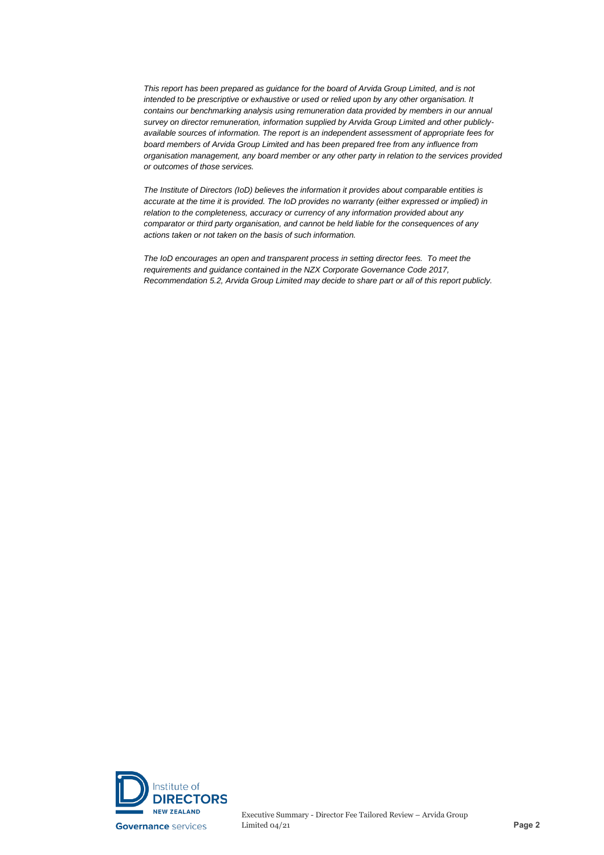*This report has been prepared as guidance for the board of Arvida Group Limited, and is not intended to be prescriptive or exhaustive or used or relied upon by any other organisation. It contains our benchmarking analysis using remuneration data provided by members in our annual survey on director remuneration, information supplied by Arvida Group Limited and other publiclyavailable sources of information. The report is an independent assessment of appropriate fees for board members of Arvida Group Limited and has been prepared free from any influence from organisation management, any board member or any other party in relation to the services provided or outcomes of those services.* 

*The Institute of Directors (IoD) believes the information it provides about comparable entities is accurate at the time it is provided. The IoD provides no warranty (either expressed or implied) in relation to the completeness, accuracy or currency of any information provided about any comparator or third party organisation, and cannot be held liable for the consequences of any actions taken or not taken on the basis of such information.* 

*The IoD encourages an open and transparent process in setting director fees. To meet the requirements and guidance contained in the NZX Corporate Governance Code 2017, Recommendation 5.2, Arvida Group Limited may decide to share part or all of this report publicly.*

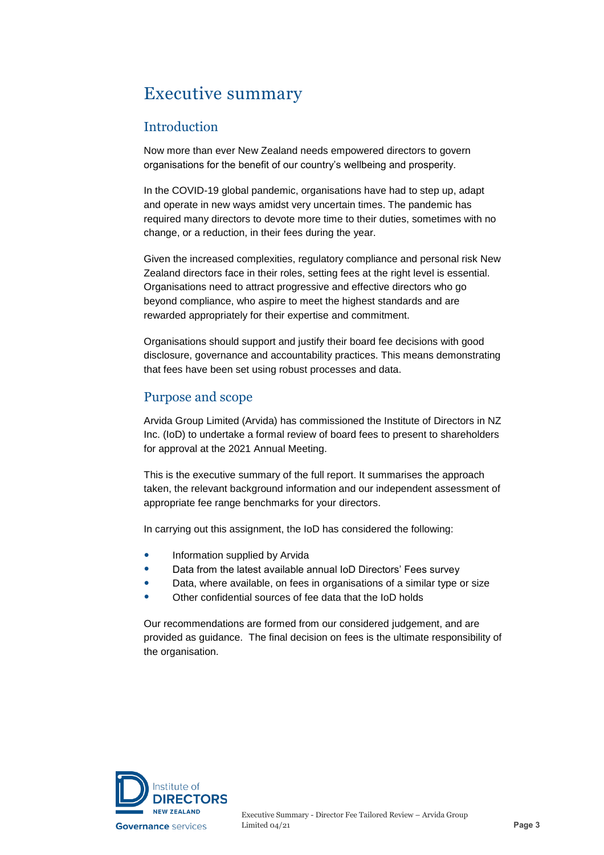### Executive summary

#### Introduction

Now more than ever New Zealand needs empowered directors to govern organisations for the benefit of our country's wellbeing and prosperity.

In the COVID-19 global pandemic, organisations have had to step up, adapt and operate in new ways amidst very uncertain times. The pandemic has required many directors to devote more time to their duties, sometimes with no change, or a reduction, in their fees during the year.

Given the increased complexities, regulatory compliance and personal risk New Zealand directors face in their roles, setting fees at the right level is essential. Organisations need to attract progressive and effective directors who go beyond compliance, who aspire to meet the highest standards and are rewarded appropriately for their expertise and commitment.

Organisations should support and justify their board fee decisions with good disclosure, governance and accountability practices. This means demonstrating that fees have been set using robust processes and data.

#### Purpose and scope

Arvida Group Limited (Arvida) has commissioned the Institute of Directors in NZ Inc. (IoD) to undertake a formal review of board fees to present to shareholders for approval at the 2021 Annual Meeting.

This is the executive summary of the full report. It summarises the approach taken, the relevant background information and our independent assessment of appropriate fee range benchmarks for your directors.

In carrying out this assignment, the IoD has considered the following:

- Information supplied by Arvida
- Data from the latest available annual IoD Directors' Fees survey
- Data, where available, on fees in organisations of a similar type or size
- Other confidential sources of fee data that the IoD holds

Our recommendations are formed from our considered judgement, and are provided as guidance. The final decision on fees is the ultimate responsibility of the organisation.

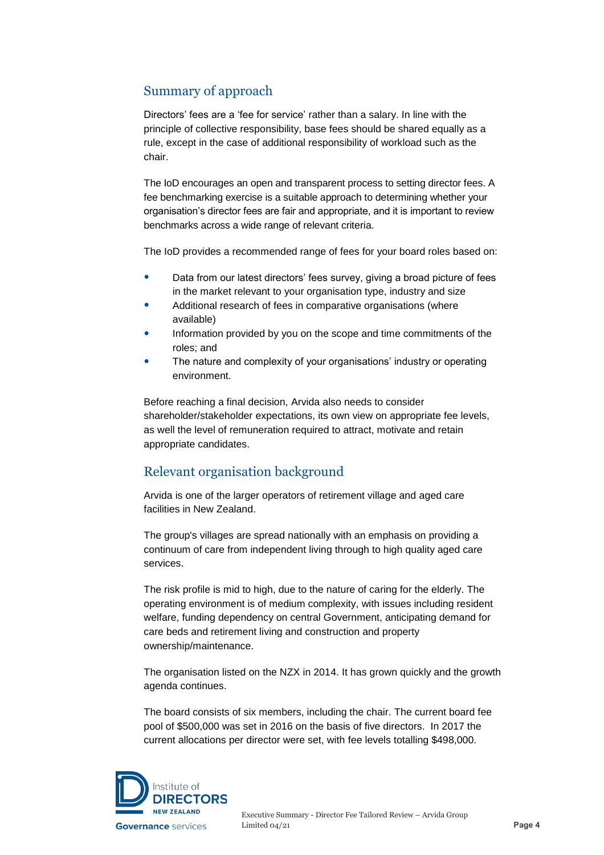#### Summary of approach

Directors' fees are a 'fee for service' rather than a salary. In line with the principle of collective responsibility, base fees should be shared equally as a rule, except in the case of additional responsibility of workload such as the chair.

The IoD encourages an open and transparent process to setting director fees. A fee benchmarking exercise is a suitable approach to determining whether your organisation's director fees are fair and appropriate, and it is important to review benchmarks across a wide range of relevant criteria.

The IoD provides a recommended range of fees for your board roles based on:

- Data from our latest directors' fees survey, giving a broad picture of fees in the market relevant to your organisation type, industry and size
- Additional research of fees in comparative organisations (where available)
- Information provided by you on the scope and time commitments of the roles; and
- The nature and complexity of your organisations' industry or operating environment.

Before reaching a final decision, Arvida also needs to consider shareholder/stakeholder expectations, its own view on appropriate fee levels, as well the level of remuneration required to attract, motivate and retain appropriate candidates.

#### Relevant organisation background

Arvida is one of the larger operators of retirement village and aged care facilities in New Zealand.

The group's villages are spread nationally with an emphasis on providing a continuum of care from independent living through to high quality aged care services.

The risk profile is mid to high, due to the nature of caring for the elderly. The operating environment is of medium complexity, with issues including resident welfare, funding dependency on central Government, anticipating demand for care beds and retirement living and construction and property ownership/maintenance.

The organisation listed on the NZX in 2014. It has grown quickly and the growth agenda continues.

The board consists of six members, including the chair. The current board fee pool of \$500,000 was set in 2016 on the basis of five directors. In 2017 the current allocations per director were set, with fee levels totalling \$498,000.

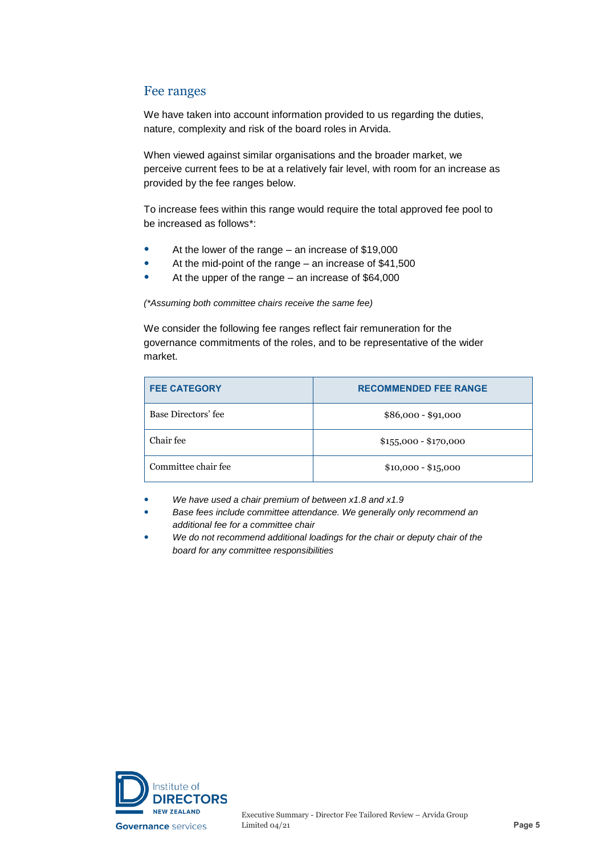#### Fee ranges

We have taken into account information provided to us regarding the duties, nature, complexity and risk of the board roles in Arvida.

When viewed against similar organisations and the broader market, we perceive current fees to be at a relatively fair level, with room for an increase as provided by the fee ranges below.

To increase fees within this range would require the total approved fee pool to be increased as follows\*:

- At the lower of the range an increase of \$19,000
- At the mid-point of the range an increase of \$41,500
- At the upper of the range an increase of \$64,000

*(\*Assuming both committee chairs receive the same fee)*

We consider the following fee ranges reflect fair remuneration for the governance commitments of the roles, and to be representative of the wider market.

| <b>FEE CATEGORY</b> | <b>RECOMMENDED FEE RANGE</b> |
|---------------------|------------------------------|
| Base Directors' fee | $$86,000 - $91,000$          |
| Chair fee           | $$155,000 - $170,000$        |
| Committee chair fee | $$10,000 - $15,000$          |

- *We have used a chair premium of between x1.8 and x1.9*
- *Base fees include committee attendance. We generally only recommend an additional fee for a committee chair*
- *We do not recommend additional loadings for the chair or deputy chair of the board for any committee responsibilities*

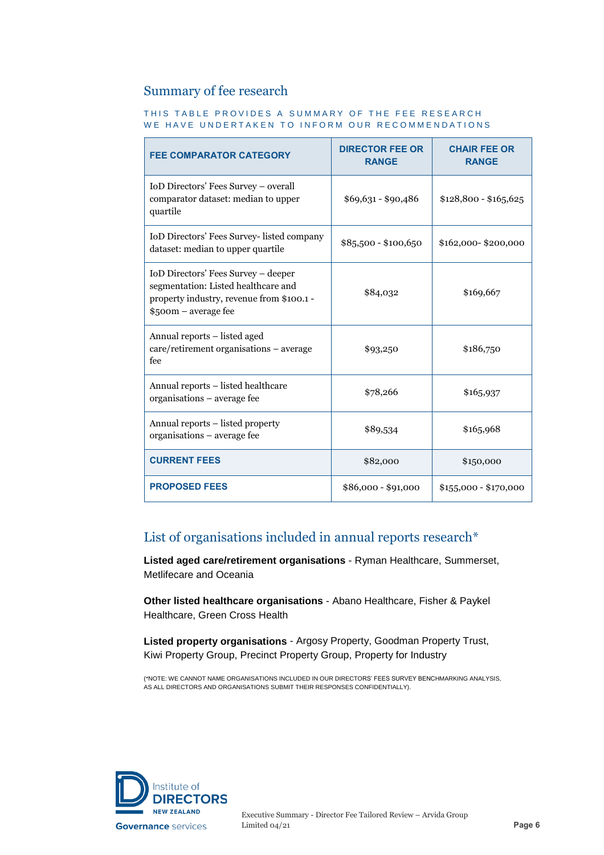#### Summary of fee research

#### THIS TABLE PROVIDES A SUMMARY OF THE FEE RESEARCH WE HAVE UNDERTAKEN TO INFORM OUR RECOMMENDATIONS

| <b>FEE COMPARATOR CATEGORY</b>                                                                                                                  | <b>DIRECTOR FEE OR</b><br><b>RANGE</b> | <b>CHAIR FEE OR</b><br><b>RANGE</b> |
|-------------------------------------------------------------------------------------------------------------------------------------------------|----------------------------------------|-------------------------------------|
| IoD Directors' Fees Survey - overall<br>comparator dataset: median to upper<br>quartile                                                         | $$69,631 - $90,486$                    | $$128,800 - $165,625$               |
| IoD Directors' Fees Survey- listed company<br>dataset: median to upper quartile                                                                 | \$85,500 - \$100,650                   | \$162,000-\$200,000                 |
| IoD Directors' Fees Survey - deeper<br>segmentation: Listed healthcare and<br>property industry, revenue from \$100.1 -<br>\$500m – average fee | \$84,032                               | \$169,667                           |
| Annual reports - listed aged<br>care/retirement organisations – average<br>fee                                                                  | \$93,250                               | \$186,750                           |
| Annual reports - listed healthcare<br>organisations - average fee                                                                               | \$78,266                               | \$165,937                           |
| Annual reports - listed property<br>organisations – average fee                                                                                 | \$89,534                               | \$165,968                           |
| <b>CURRENT FEES</b>                                                                                                                             | \$82,000                               | \$150,000                           |
| <b>PROPOSED FEES</b>                                                                                                                            | $$86,000 - $91,000$                    | $$155,000 - $170,000$               |

#### List of organisations included in annual reports research\*

**Listed aged care/retirement organisations** - Ryman Healthcare, Summerset, Metlifecare and Oceania

**Other listed healthcare organisations** - Abano Healthcare, Fisher & Paykel Healthcare, Green Cross Health

**Listed property organisations** - Argosy Property, Goodman Property Trust, Kiwi Property Group, Precinct Property Group, Property for Industry

(\*NOTE: WE CANNOT NAME ORGANISATIONS INCLUDED IN OUR DIRECTORS' FEES SURVEY BENCHMARKING ANALYSIS, AS ALL DIRECTORS AND ORGANISATIONS SUBMIT THEIR RESPONSES CONFIDENTIALLY).

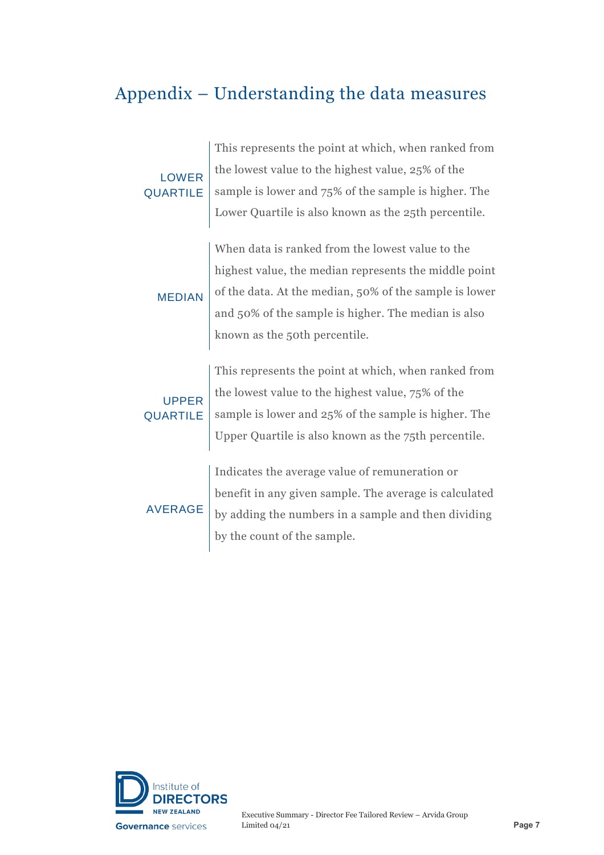### Appendix – Understanding the data measures

| <b>LOWER</b><br><b>QUARTILE</b> | This represents the point at which, when ranked from   |
|---------------------------------|--------------------------------------------------------|
|                                 | the lowest value to the highest value, 25% of the      |
|                                 | sample is lower and 75% of the sample is higher. The   |
|                                 | Lower Quartile is also known as the 25th percentile.   |
|                                 |                                                        |
| <b>MEDIAN</b>                   | When data is ranked from the lowest value to the       |
|                                 | highest value, the median represents the middle point  |
|                                 | of the data. At the median, 50% of the sample is lower |
|                                 | and 50% of the sample is higher. The median is also    |
|                                 | known as the 50th percentile.                          |
|                                 |                                                        |
| <b>UPPER</b><br><b>QUARTILE</b> | This represents the point at which, when ranked from   |
|                                 | the lowest value to the highest value, 75% of the      |
|                                 | sample is lower and 25% of the sample is higher. The   |
|                                 | Upper Quartile is also known as the 75th percentile.   |
|                                 |                                                        |
| <b>AVERAGE</b>                  | Indicates the average value of remuneration or         |
|                                 | benefit in any given sample. The average is calculated |
|                                 | by adding the numbers in a sample and then dividing    |
|                                 | by the count of the sample.                            |
|                                 |                                                        |